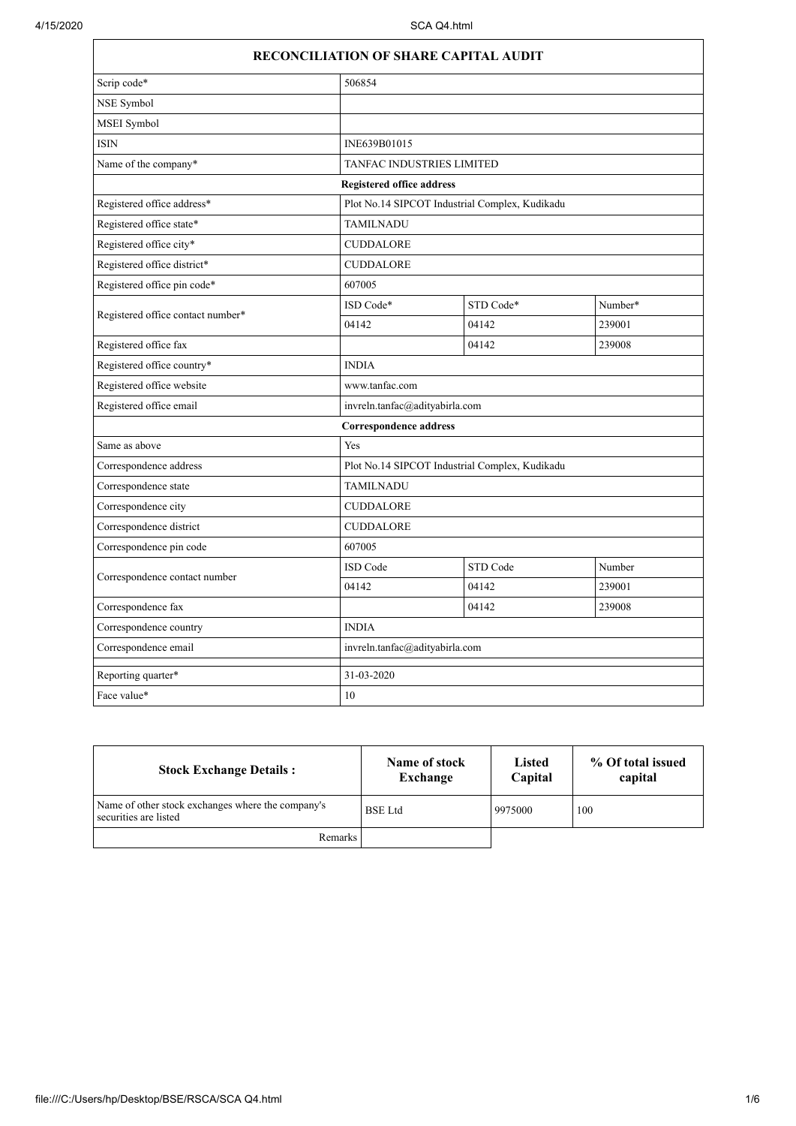| Scrip code*                       | 506854                                         |           |         |
|-----------------------------------|------------------------------------------------|-----------|---------|
| NSE Symbol                        |                                                |           |         |
| MSEI Symbol                       |                                                |           |         |
| <b>ISIN</b>                       | INE639B01015                                   |           |         |
| Name of the company*              | TANFAC INDUSTRIES LIMITED                      |           |         |
|                                   | <b>Registered office address</b>               |           |         |
| Registered office address*        | Plot No.14 SIPCOT Industrial Complex, Kudikadu |           |         |
| Registered office state*          | <b>TAMILNADU</b>                               |           |         |
| Registered office city*           | <b>CUDDALORE</b>                               |           |         |
| Registered office district*       | CUDDALORE                                      |           |         |
| Registered office pin code*       | 607005                                         |           |         |
|                                   | ISD Code*                                      | STD Code* | Number* |
| Registered office contact number* | 04142                                          | 04142     | 239001  |
| Registered office fax             |                                                | 04142     | 239008  |
| Registered office country*        | <b>INDIA</b>                                   |           |         |
| Registered office website         | www.tanfac.com                                 |           |         |
| Registered office email           | invreln.tanfac@adityabirla.com                 |           |         |
|                                   | <b>Correspondence address</b>                  |           |         |
| Same as above                     | Yes                                            |           |         |
| Correspondence address            | Plot No.14 SIPCOT Industrial Complex, Kudikadu |           |         |
| Correspondence state              | <b>TAMILNADU</b>                               |           |         |
| Correspondence city               | <b>CUDDALORE</b>                               |           |         |
| Correspondence district           | <b>CUDDALORE</b>                               |           |         |
| Correspondence pin code           | 607005                                         |           |         |
| Correspondence contact number     | ISD Code                                       | STD Code  | Number  |
|                                   | 04142                                          | 04142     | 239001  |
| Correspondence fax                |                                                | 04142     | 239008  |
| Correspondence country            | <b>INDIA</b>                                   |           |         |
| Correspondence email              | invreln.tanfac@adityabirla.com                 |           |         |
| Reporting quarter*                | 31-03-2020                                     |           |         |
| Face value*                       | 10                                             |           |         |

| <b>Stock Exchange Details:</b>                                             | Name of stock<br>Exchange | <b>Listed</b><br>Capital | % Of total issued<br>capital |
|----------------------------------------------------------------------------|---------------------------|--------------------------|------------------------------|
| Name of other stock exchanges where the company's<br>securities are listed | <b>BSE</b> Ltd            | 9975000                  | 100                          |
| Remarks                                                                    |                           |                          |                              |

## file:///C:/Users/hp/Desktop/BSE/RSCA/SCA Q4.html 1/6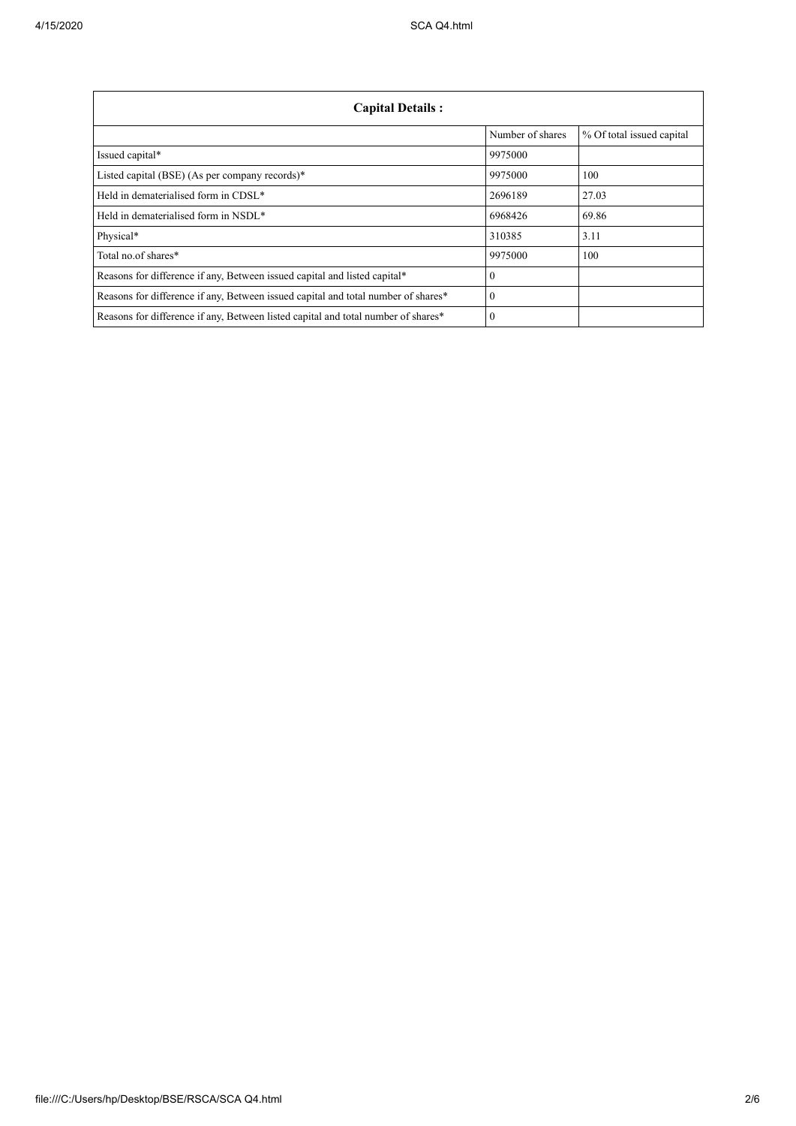| <b>Capital Details:</b>                                                           |                  |                           |
|-----------------------------------------------------------------------------------|------------------|---------------------------|
|                                                                                   | Number of shares | % Of total issued capital |
| Issued capital*                                                                   | 9975000          |                           |
| Listed capital (BSE) (As per company records)*                                    | 9975000          | 100                       |
| Held in dematerialised form in CDSL*                                              | 2696189          | 27.03                     |
| Held in dematerialised form in NSDL*                                              | 6968426          | 69.86                     |
| Physical*                                                                         | 310385           | 3.11                      |
| Total no.of shares*                                                               | 9975000          | 100                       |
| Reasons for difference if any, Between issued capital and listed capital*         | $\theta$         |                           |
| Reasons for difference if any, Between issued capital and total number of shares* | $\Omega$         |                           |
| Reasons for difference if any, Between listed capital and total number of shares* | $\Omega$         |                           |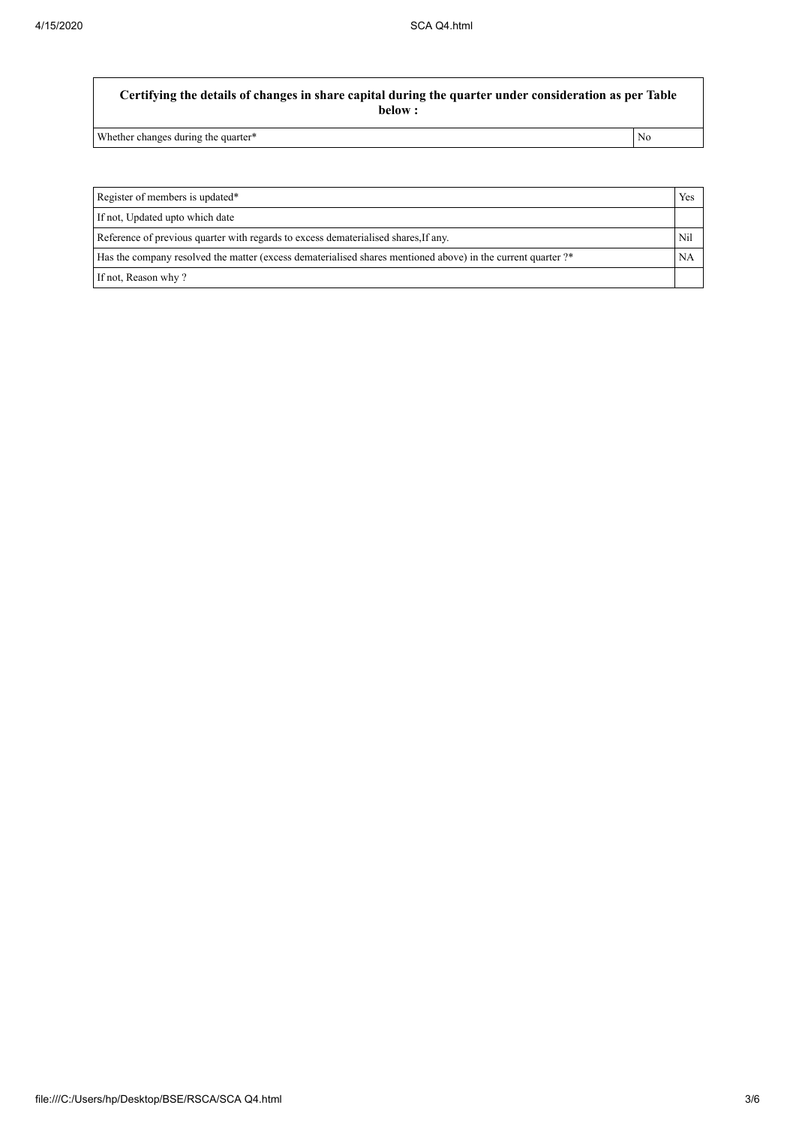## **Certifying the details of changes in share capital during the quarter under consideration as per Table below :**

Whether changes during the quarter\* No

| Register of members is updated*                                                                              | Yes |
|--------------------------------------------------------------------------------------------------------------|-----|
| If not, Updated upto which date                                                                              |     |
| Reference of previous quarter with regards to excess dematerialised shares, If any.                          | Nil |
| Has the company resolved the matter (excess dematerialised shares mentioned above) in the current quarter ?* | NA  |
| If not, Reason why?                                                                                          |     |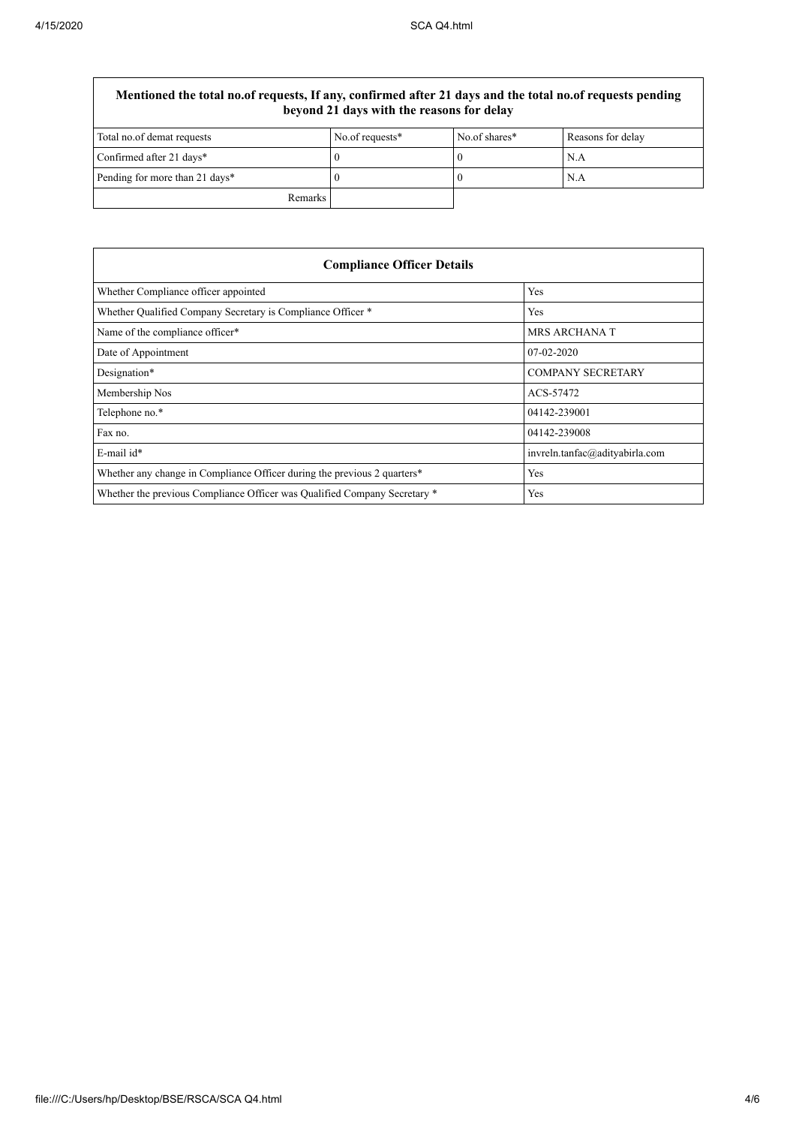## **Mentioned the total no.of requests, If any, confirmed after 21 days and the total no.of requests pending beyond 21 days with the reasons for delay**

| Total no.of demat requests     | No.of requests* | No.of shares* | Reasons for delay |
|--------------------------------|-----------------|---------------|-------------------|
| Confirmed after 21 days*       |                 |               | N.A               |
| Pending for more than 21 days* |                 |               | N.A               |
| Remarks                        |                 |               |                   |

| <b>Compliance Officer Details</b>                                         |                                |  |
|---------------------------------------------------------------------------|--------------------------------|--|
| Whether Compliance officer appointed                                      | Yes                            |  |
| Whether Qualified Company Secretary is Compliance Officer *               | Yes                            |  |
| Name of the compliance officer*                                           | <b>MRS ARCHANA T</b>           |  |
| Date of Appointment                                                       | $07-02-2020$                   |  |
| Designation*                                                              | <b>COMPANY SECRETARY</b>       |  |
| Membership Nos                                                            | ACS-57472                      |  |
| Telephone no.*                                                            | 04142-239001                   |  |
| Fax no.                                                                   | 04142-239008                   |  |
| E-mail id*                                                                | invreln.tanfac@adityabirla.com |  |
| Whether any change in Compliance Officer during the previous 2 quarters*  | Yes                            |  |
| Whether the previous Compliance Officer was Qualified Company Secretary * | Yes                            |  |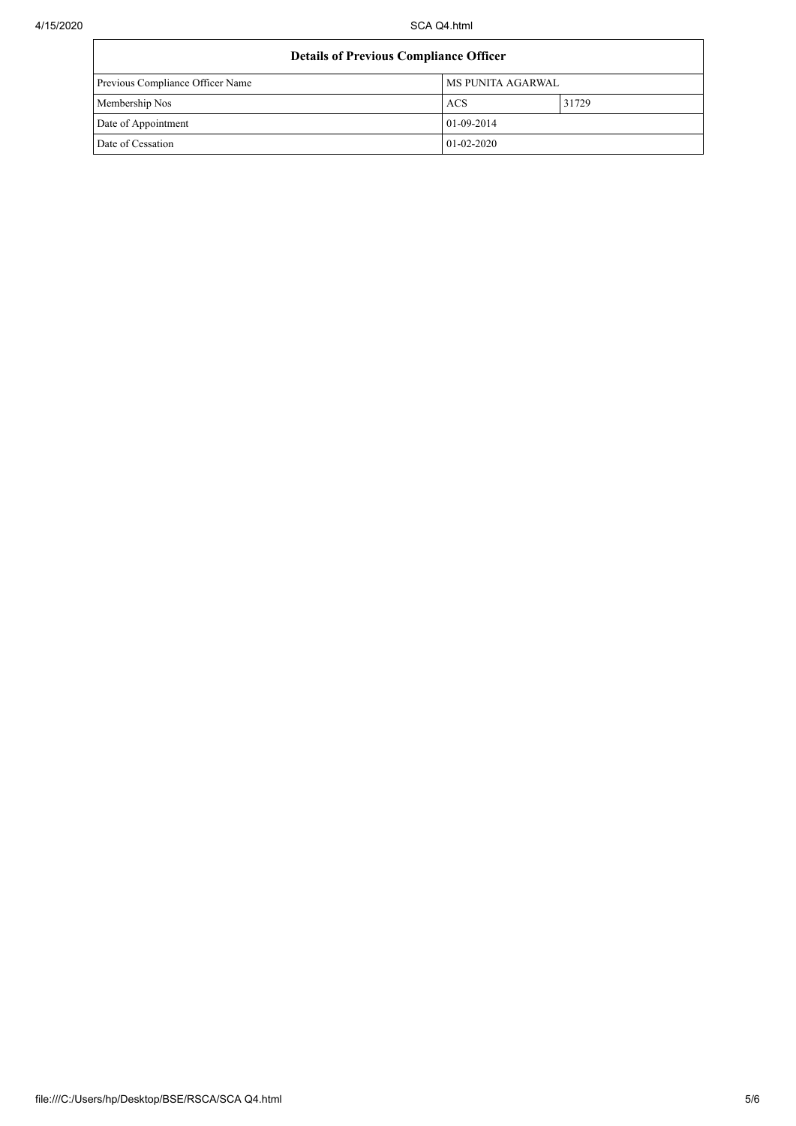| <b>Details of Previous Compliance Officer</b> |                          |       |
|-----------------------------------------------|--------------------------|-------|
| Previous Compliance Officer Name              | <b>MS PUNITA AGARWAL</b> |       |
| Membership Nos                                | <b>ACS</b>               | 31729 |
| Date of Appointment                           | $01-09-2014$             |       |
| Date of Cessation                             | $01 - 02 - 2020$         |       |